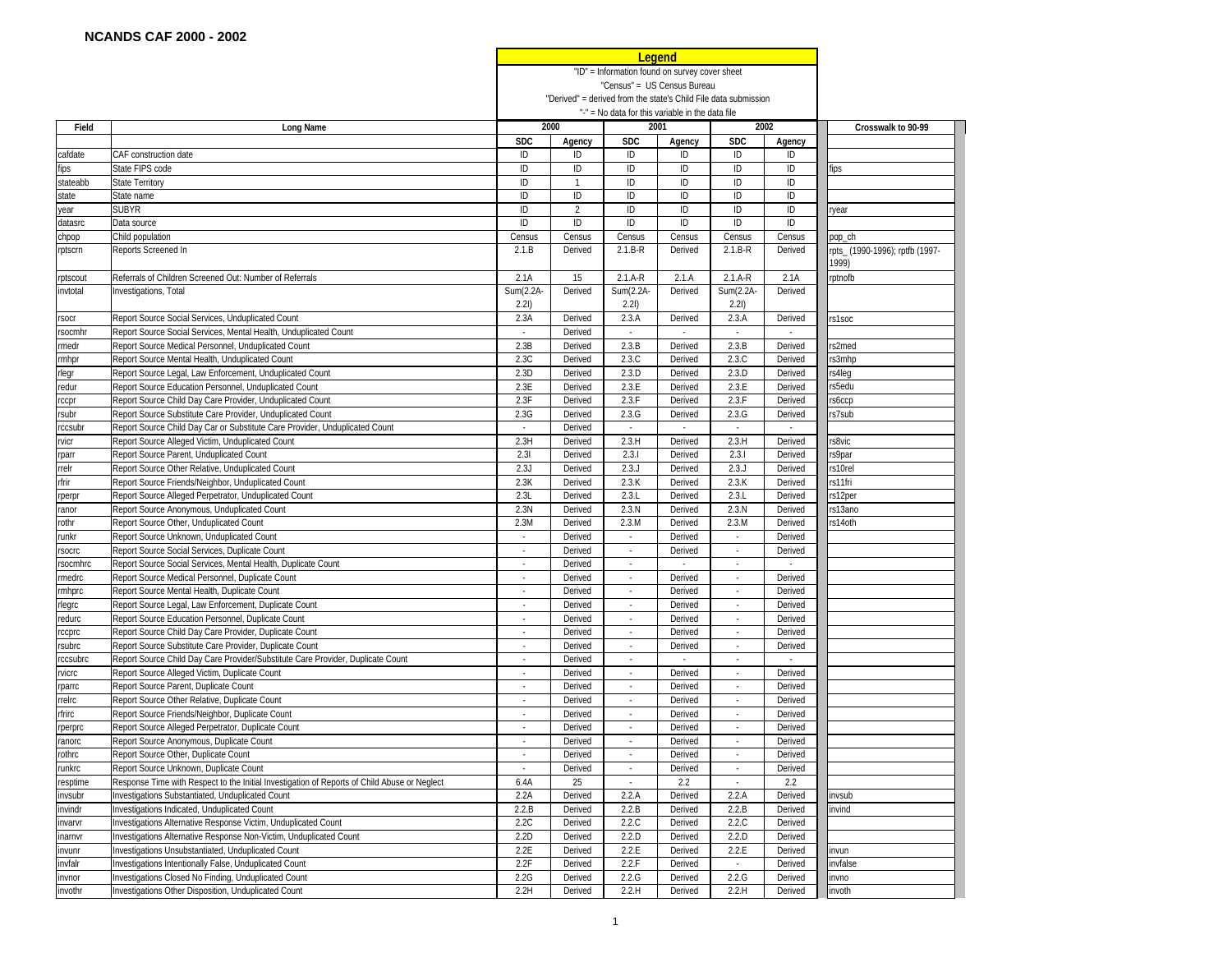|                   |                                                                                              |                             |                                                |                                                  | <b>Legena</b> |                                                                 |                          |                                |
|-------------------|----------------------------------------------------------------------------------------------|-----------------------------|------------------------------------------------|--------------------------------------------------|---------------|-----------------------------------------------------------------|--------------------------|--------------------------------|
|                   |                                                                                              |                             | "ID" = Information found on survey cover sheet |                                                  |               |                                                                 |                          |                                |
|                   |                                                                                              |                             | "Census" = US Census Bureau                    |                                                  |               |                                                                 |                          |                                |
|                   |                                                                                              |                             |                                                |                                                  |               | "Derived" = derived from the state's Child File data submission |                          |                                |
|                   |                                                                                              |                             |                                                | "-" = No data for this variable in the data file |               |                                                                 |                          |                                |
| Field             | Long Name                                                                                    |                             | 2000                                           |                                                  | 2001          |                                                                 | 2002                     | Crosswalk to 90-99             |
|                   |                                                                                              | <b>SDC</b>                  | Agency                                         | <b>SDC</b>                                       | Agency        | <b>SDC</b>                                                      | Agency                   |                                |
| cafdate           | CAF construction date                                                                        | ID                          | ID                                             | ID                                               | ID            | ID                                                              | ID                       |                                |
|                   |                                                                                              |                             |                                                |                                                  |               |                                                                 |                          |                                |
| fips              | State FIPS code                                                                              | ID                          | ID                                             | ID                                               | ID            | ID                                                              | ID                       | fips                           |
| stateabb          | <b>State Territory</b>                                                                       | ID                          | $\mathbf{1}$                                   | ID                                               | ID            | ID                                                              | ID                       |                                |
| state             | State name                                                                                   | ID                          | ID                                             | ID                                               | ID            | ID                                                              | ID                       |                                |
| year              | <b>SUBYR</b>                                                                                 | ID                          | $\overline{2}$                                 | ID                                               | ID            | ID                                                              | ID                       | year                           |
| datasrc           | Data source                                                                                  | ID                          | ID                                             | ID                                               | ID            | ID                                                              | ID                       |                                |
| chpop             | Child population                                                                             | Census                      | Census                                         | Census                                           | Census        | Census                                                          | Census                   | pop_ch                         |
| rptscrn           | Reports Screened In                                                                          | 2.1.B                       | Derived                                        | $2.1.B-R$                                        | Derived       | $2.1.B-R$                                                       | Derived                  | pts_ (1990-1996); rptfb (1997- |
|                   |                                                                                              |                             |                                                |                                                  |               |                                                                 |                          | 1999)                          |
| rptscout          | Referrals of Children Screened Out: Number of Referrals                                      | 2.1A                        | 15                                             | $2.1.A-R$                                        | 2.1.A         | $2.1.A-R$                                                       | 2.1A                     | rptnofb                        |
| invtotal          | Investigations, Total                                                                        | Sum(2.2A-<br>2.21           | Derived                                        | Sum(2.2A-<br>2.21                                | Derived       | Sum(2.2A-<br>2.21)                                              | Derived                  |                                |
| rsocr             | Report Source Social Services, Unduplicated Count                                            | 2.3A                        | Derived                                        | 2.3.A                                            | Derived       | 2.3.A                                                           | Derived                  | s1soc                          |
| rsocmhr           | Report Source Social Services, Mental Health, Unduplicated Count                             | $\sim$                      | Derived                                        | $\sim$                                           | $\omega$      | $\sim$                                                          | $\overline{\phantom{a}}$ |                                |
|                   | Report Source Medical Personnel, Unduplicated Count                                          | 2.3B                        | Derived                                        | 2.3.B                                            | Derived       | 2.3.B                                                           | Derived                  | s2med                          |
| rmedr             |                                                                                              |                             |                                                | 2.3.C                                            |               |                                                                 |                          |                                |
| rmhpr             | Report Source Mental Health, Unduplicated Count                                              | 2.3C                        | Derived                                        |                                                  | Derived       | 2.3.C                                                           | Derived                  | s3mhp                          |
| rlegr             | Report Source Legal, Law Enforcement, Unduplicated Count                                     | 2.3D                        | Derived                                        | 2.3.D                                            | Derived       | 2.3.D                                                           | Derived                  | s4leg                          |
| redur             | Report Source Education Personnel, Unduplicated Count                                        | 2.3E                        | Derived                                        | 2.3.E                                            | Derived       | 2.3.E                                                           | Derived                  | s5edu                          |
| rccpr             | Report Source Child Day Care Provider, Unduplicated Count                                    | 2.3F                        | Derived                                        | 2.3.F                                            | Derived       | 2.3.F                                                           | Derived                  | s6ccp                          |
| rsubr             | Report Source Substitute Care Provider, Unduplicated Count                                   | 2.3G                        | Derived                                        | 2.3.G                                            | Derived       | 2.3.G                                                           | Derived                  | s7sub                          |
| rccsubr           | Report Source Child Day Car or Substitute Care Provider, Unduplicated Count                  | $\sim$                      | Derived                                        | $\sim$                                           | ÷.            | $\sim$                                                          | $\omega$                 |                                |
| rvicr             | Report Source Alleged Victim, Unduplicated Count                                             | 2.3H                        | Derived                                        | 2.3.H                                            | Derived       | 2.3.H                                                           | Derived                  | s8vic                          |
| rparr             | Report Source Parent, Unduplicated Count                                                     | 2.31                        | Derived                                        | 2.3.1                                            | Derived       | 2.3.1                                                           | Derived                  | s9par                          |
| rrelr             | Report Source Other Relative, Unduplicated Count                                             | 2.3J                        | Derived                                        | 2.3J                                             | Derived       | 2.3J                                                            | Derived                  | s10rel                         |
| rfrir             | Report Source Friends/Neighbor, Unduplicated Count                                           | 2.3K                        | Derived                                        | 2.3K                                             | Derived       | 2.3.K                                                           | Derived                  | s11fri                         |
| rperpr            | Report Source Alleged Perpetrator, Unduplicated Count                                        | 2.3L                        | Derived                                        | 2.3.L                                            | Derived       | 2.3.L                                                           | Derived                  | s12per                         |
| ranor             | Report Source Anonymous, Unduplicated Count                                                  | 2.3N                        | Derived                                        | 2.3.N                                            | Derived       | 2.3.N                                                           | Derived                  | s13ano                         |
| rothr             | Report Source Other, Unduplicated Count                                                      | 2.3M                        | Derived                                        | 2.3.M                                            | Derived       | 2.3.M                                                           | Derived                  | s14oth                         |
|                   |                                                                                              |                             | Derived                                        |                                                  |               |                                                                 |                          |                                |
| runkr             | Report Source Unknown, Unduplicated Count                                                    | $\overline{\phantom{a}}$    |                                                | $\overline{\phantom{a}}$                         | Derived       | $\overline{\phantom{a}}$                                        | Derived                  |                                |
| rsocrc            | Report Source Social Services, Duplicate Count                                               |                             | Derived                                        |                                                  | Derived       |                                                                 | Derived                  |                                |
| rsocmhrc          | Report Source Social Services, Mental Health, Duplicate Count                                | $\overline{\phantom{a}}$    | Derived                                        | $\overline{\phantom{a}}$                         |               |                                                                 |                          |                                |
| rmedrc            | Report Source Medical Personnel, Duplicate Count                                             |                             | Derived                                        |                                                  | Derived       |                                                                 | Derived                  |                                |
| rmhprc            | Report Source Mental Health, Duplicate Count                                                 | $\bar{\phantom{a}}$         | Derived                                        | $\sim$                                           | Derived       | $\blacksquare$                                                  | Derived                  |                                |
| rlegrc            | Report Source Legal, Law Enforcement, Duplicate Count                                        | $\sim$                      | Derived                                        | $\sim$                                           | Derived       | $\sim$                                                          | Derived                  |                                |
| redurc            | Report Source Education Personnel, Duplicate Count                                           | $\mathcal{L}_{\mathcal{A}}$ | Derived                                        | $\omega$                                         | Derived       | ÷.                                                              | Derived                  |                                |
| rccprc            | Report Source Child Day Care Provider, Duplicate Count                                       | $\omega$                    | Derived                                        | $\sim$                                           | Derived       | $\mathcal{L}_{\mathcal{A}}$                                     | Derived                  |                                |
| rsubrc            | Report Source Substitute Care Provider, Duplicate Count                                      | $\sim$                      | Derived                                        | $\mathcal{L}_{\mathcal{A}}$                      | Derived       | $\bar{a}$                                                       | Derived                  |                                |
| rccsubrc          | Report Source Child Day Care Provider/Substitute Care Provider, Duplicate Count              | $\sim$                      | Derived                                        | $\sim$                                           | $\sim$        | $\overline{\phantom{a}}$                                        | $\sim$                   |                                |
| rvicrc            | Report Source Alleged Victim, Duplicate Count                                                | $\overline{\phantom{a}}$    | Derived                                        | $\overline{\phantom{a}}$                         | Derived       | $\overline{\phantom{a}}$                                        | Derived                  |                                |
| rparrc            | Report Source Parent, Duplicate Count                                                        | $\sim$                      | Derived                                        | $\sim$                                           | Derived       | $\sim$                                                          | Derived                  |                                |
| rrelrc            | Report Source Other Relative, Duplicate Count                                                | $\sim$                      | Derived                                        | $\sim$                                           | Derived       | $\overline{\phantom{a}}$                                        | Derived                  |                                |
| rfrirc            | Report Source Friends/Neighbor, Duplicate Count                                              | $\overline{\phantom{a}}$    | Derived                                        | $\sim$                                           | Derived       | $\overline{\phantom{a}}$                                        | Derived                  |                                |
|                   | Report Source Alleged Perpetrator, Duplicate Count                                           |                             | Derived                                        |                                                  | Derived       |                                                                 | Derived                  |                                |
| rperprc<br>ranorc | Report Source Anonymous, Duplicate Count                                                     |                             | Derived                                        |                                                  | Derived       |                                                                 | Derived                  |                                |
|                   |                                                                                              |                             |                                                |                                                  |               |                                                                 |                          |                                |
| rothrc            | Report Source Other, Duplicate Count                                                         |                             | Derived                                        |                                                  | Derived       |                                                                 | Derived                  |                                |
| runkrc            | Report Source Unknown, Duplicate Count                                                       | $\overline{\phantom{a}}$    | Derived                                        | $\sim$                                           | Derived       | $\overline{\phantom{a}}$                                        | Derived                  |                                |
| resptime          | Response Time with Respect to the Initial Investigation of Reports of Child Abuse or Neglect | 6.4A                        | 25                                             | $\omega$                                         | 2.2           | $\overline{\phantom{a}}$                                        | 2.2                      |                                |
| invsubr           | Investigations Substantiated, Unduplicated Count                                             | 2.2A                        | Derived                                        | 2.2.A                                            | Derived       | 2.2.A                                                           | Derived                  | invsub                         |
| invindr           | Investigations Indicated, Unduplicated Count                                                 | 2.2.B                       | Derived                                        | 2.2.B                                            | Derived       | 2.2.B                                                           | Derived                  | invind                         |
| invarvr           | Investigations Alternative Response Victim, Unduplicated Count                               | 2.2C                        | Derived                                        | 2.2.C                                            | Derived       | 2.2.C                                                           | Derived                  |                                |
| inarnvr           | Investigations Alternative Response Non-Victim, Unduplicated Count                           | 2.2D                        | Derived                                        | 2.2.D                                            | Derived       | 2.2.D                                                           | Derived                  |                                |
| invunr            | Investigations Unsubstantiated, Unduplicated Count                                           | 2.2E                        | Derived                                        | 2.2.E                                            | Derived       | 2.2.E                                                           | Derived                  | nvun                           |
| invfalr           | Investigations Intentionally False, Unduplicated Count                                       | 2.2F                        | Derived                                        | 2.2.F                                            | Derived       | $\sim$                                                          | Derived                  | nvfalse                        |
| invnor            | Investigations Closed No Finding, Unduplicated Count                                         | 2.2G                        | Derived                                        | 2.2.G                                            | Derived       | 2.2.G                                                           | Derived                  | nvno                           |
| invothr           | Investigations Other Disposition, Unduplicated Count                                         | 2.2H                        | Derived                                        | 2.2.H                                            | Derived       | 2.2.H                                                           | Derived                  | nvoth                          |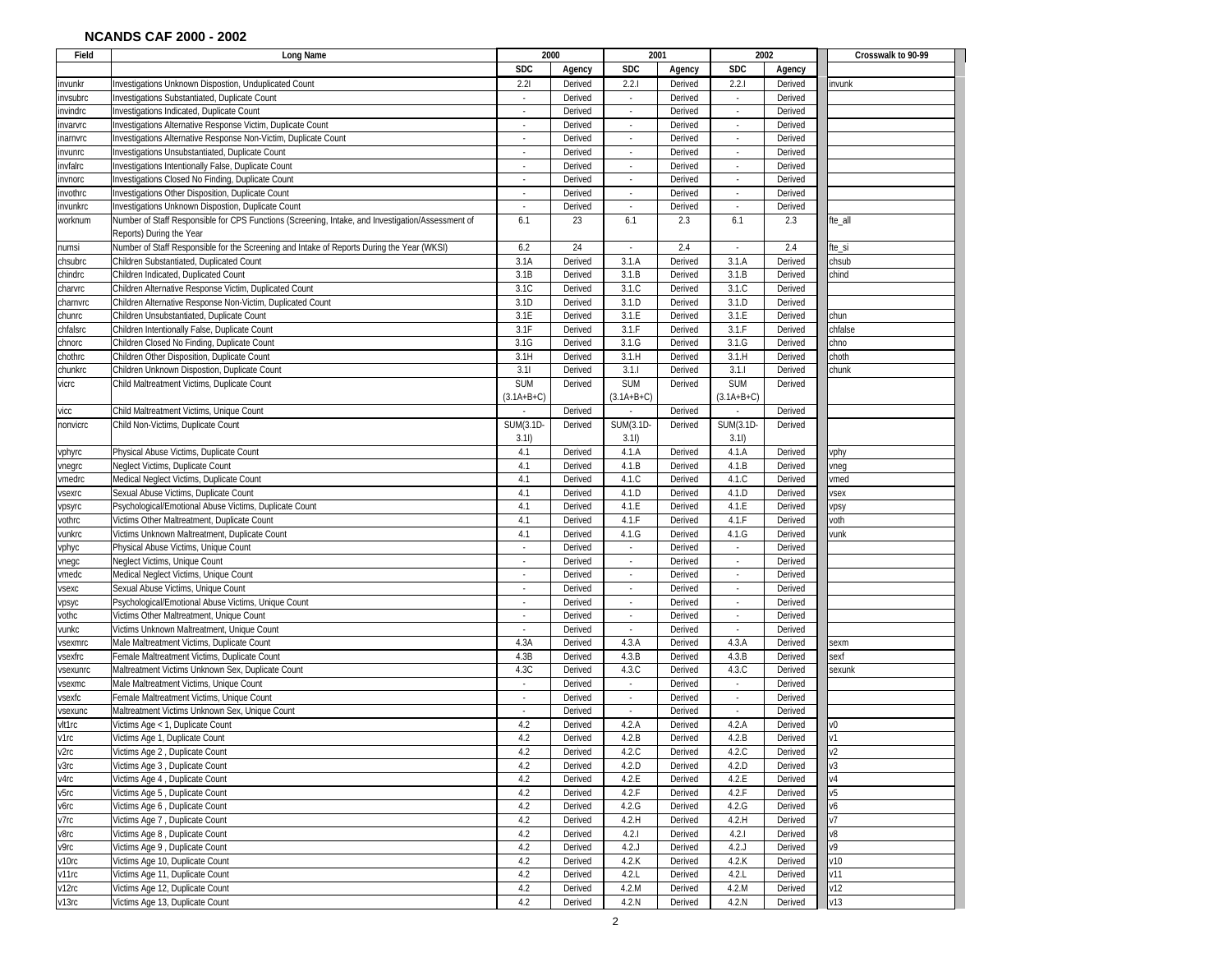| Field            | Long Name                                                                                                                     | 2000                        |                    | 2001                     |         |                          | 2002    | Crosswalk to 90-99 |
|------------------|-------------------------------------------------------------------------------------------------------------------------------|-----------------------------|--------------------|--------------------------|---------|--------------------------|---------|--------------------|
|                  |                                                                                                                               | <b>SDC</b>                  | Agency             | <b>SDC</b>               | Agency  | <b>SDC</b>               | Agency  |                    |
| invunkr          | Investigations Unknown Dispostion, Unduplicated Count                                                                         | 2.21                        | Derived            | 2.2.1                    | Derived | 2.2.1                    | Derived | invunk             |
| invsubrc         | Investigations Substantiated, Duplicate Count                                                                                 | $\overline{\phantom{a}}$    | Derived            | $\sim$                   | Derived | $\overline{\phantom{a}}$ | Derived |                    |
| invindrc         | Investigations Indicated, Duplicate Count                                                                                     | $\omega$                    | Derived            | $\omega$                 | Derived | $\epsilon$               | Derived |                    |
| invarvrc         | Investigations Alternative Response Victim, Duplicate Count                                                                   | $\overline{\phantom{a}}$    | Derived            | $\sim$                   | Derived | $\overline{\phantom{a}}$ | Derived |                    |
| inarnvrc         | Investigations Alternative Response Non-Victim, Duplicate Count                                                               | $\sim$                      | Derived            | $\overline{\phantom{a}}$ | Derived | $\overline{\phantom{a}}$ | Derived |                    |
|                  | Investigations Unsubstantiated, Duplicate Count                                                                               |                             | Derived            |                          | Derived |                          | Derived |                    |
| nvunrc           | Investigations Intentionally False, Duplicate Count                                                                           |                             | Derived            |                          | Derived |                          | Derived |                    |
| invfalrc         |                                                                                                                               | $\overline{\phantom{a}}$    |                    | $\overline{\phantom{a}}$ |         |                          |         |                    |
| invnorc          | Investigations Closed No Finding, Duplicate Count                                                                             |                             | Derived            |                          | Derived |                          | Derived |                    |
| invothrc         | Investigations Other Disposition, Duplicate Count                                                                             | $\blacksquare$              | Derived            | $\overline{\phantom{a}}$ | Derived |                          | Derived |                    |
| invunkrc         | Investigations Unknown Dispostion, Duplicate Count                                                                            | ÷.                          | Derived            | $\omega$                 | Derived | ×.                       | Derived |                    |
| worknum          | Number of Staff Responsible for CPS Functions (Screening, Intake, and Investigation/Assessment of<br>Reports) During the Year | 6.1                         | 23                 | 6.1                      | 2.3     | 6.1                      | 2.3     | fte_all            |
| numsi            | Number of Staff Responsible for the Screening and Intake of Reports During the Year (WKSI)                                    | 6.2                         | 24                 | $\cdot$                  | 2.4     | $\overline{\phantom{a}}$ | 2.4     | fte_si             |
| chsubrc          | Children Substantiated, Duplicated Count                                                                                      | 3.1A                        | Derived            | 3.1.A                    | Derived | 3.1.A                    | Derived | chsub              |
| chindrc          | Children Indicated, Duplicated Count                                                                                          | 3.1B                        | Derived            | 3.1.B                    | Derived | 3.1.B                    | Derived | chind              |
| charvrc          | Children Alternative Response Victim, Duplicated Count                                                                        | 3.1C                        | Derived            | 3.1.C                    | Derived | 3.1.C                    | Derived |                    |
| charnvrc         | Children Alternative Response Non-Victim, Duplicated Count                                                                    | 3.1D                        | Derived            | 3.1.D                    | Derived | 3.1.D                    | Derived |                    |
| chunrc           | Children Unsubstantiated, Duplicate Count                                                                                     | 3.1E                        | Derived            | 3.1.E                    | Derived | 3.1.E                    | Derived | chun               |
| chfalsrc         | Children Intentionally False, Duplicate Count                                                                                 | 3.1F                        | Derived            | 3.1.F                    | Derived | 3.1.F                    | Derived | chfalse            |
| chnorc           | Children Closed No Finding, Duplicate Count                                                                                   | 3.1G                        | Derived            | 3.1.G                    | Derived | 3.1.G                    | Derived | chno               |
| chothrc          | Children Other Disposition, Duplicate Count                                                                                   | 3.1H                        | Derived            | 3.1.H                    | Derived | 3.1.H                    | Derived | choth              |
| chunkrc          | Children Unknown Dispostion, Duplicate Count                                                                                  | 3.11                        | Derived            | 3.1.1                    | Derived | 3.1.1                    | Derived | chunk              |
| vicrc            | Child Maltreatment Victims, Duplicate Count                                                                                   | <b>SUM</b>                  | Derived            | <b>SUM</b>               | Derived | <b>SUM</b>               | Derived |                    |
|                  |                                                                                                                               | $(3.1A+B+C)$                |                    | $(3.1A+B+C)$             |         | $(3.1A+B+C)$             |         |                    |
| vicc             | Child Maltreatment Victims, Unique Count                                                                                      |                             | Derived            |                          | Derived |                          | Derived |                    |
| nonvicrc         | Child Non-Victims, Duplicate Count                                                                                            | <b>SUM(3.1D-</b>            | Derived            | SUM(3.1D-                | Derived | SUM(3.1D                 | Derived |                    |
|                  |                                                                                                                               | 3.11)                       |                    | 3.11)                    |         | 3.11)                    |         |                    |
|                  | Physical Abuse Victims, Duplicate Count                                                                                       | 4.1                         | Derived            | 4.1.A                    | Derived | 4.1.A                    | Derived |                    |
| vphyrc           | Neglect Victims, Duplicate Count                                                                                              | 4.1                         | Derived            | 4.1.B                    | Derived | 4.1.B                    | Derived | vphy               |
| vnegrc<br>vmedrc | Medical Neglect Victims, Duplicate Count                                                                                      | 4.1                         | Derived            | 4.1.C                    | Derived | 4.1.C                    | Derived | vneg<br>vmed       |
|                  | Sexual Abuse Victims, Duplicate Count                                                                                         | 4.1                         |                    | 4.1.D                    |         | 4.1.D                    | Derived |                    |
| vsexrc           |                                                                                                                               | 4.1                         | Derived<br>Derived | 4.1.E                    | Derived | 4.1.E                    |         | vsex               |
| vpsyrc           | Psychological/Emotional Abuse Victims, Duplicate Count                                                                        |                             |                    |                          | Derived |                          | Derived | /psy               |
| vothrc           | Victims Other Maltreatment, Duplicate Count                                                                                   | 4.1                         | Derived            | 4.1.F                    | Derived | 4.1.F                    | Derived | voth               |
| vunkrc           | Victims Unknown Maltreatment, Duplicate Count                                                                                 | 4.1                         | Derived            | 4.1.G                    | Derived | 4.1.G                    | Derived | vunk               |
| vphyc            | Physical Abuse Victims, Unique Count                                                                                          | ÷.                          | Derived            | $\omega$                 | Derived | $\mathcal{L}$            | Derived |                    |
| vnegc            | Neglect Victims, Unique Count                                                                                                 | ÷.                          | Derived            | $\omega$                 | Derived | $\mathcal{L}$            | Derived |                    |
| vmedc            | Medical Neglect Victims, Unique Count                                                                                         | $\mathcal{L}_{\mathcal{A}}$ | Derived            | $\overline{\phantom{a}}$ | Derived | $\sim$                   | Derived |                    |
| vsexc            | Sexual Abuse Victims, Unique Count                                                                                            | $\overline{\phantom{a}}$    | Derived            | $\sim$                   | Derived | $\overline{\phantom{a}}$ | Derived |                    |
| vpsyc            | Psychological/Emotional Abuse Victims, Unique Count                                                                           | $\overline{\phantom{a}}$    | Derived            | $\overline{\phantom{a}}$ | Derived | $\overline{\phantom{a}}$ | Derived |                    |
| vothc            | Victims Other Maltreatment, Unique Count                                                                                      | $\overline{\phantom{a}}$    | Derived            | $\sim$                   | Derived | $\overline{\phantom{a}}$ | Derived |                    |
| vunkc            | Victims Unknown Maltreatment, Unique Count                                                                                    | $\overline{\phantom{a}}$    | Derived            | $\overline{\phantom{a}}$ | Derived | $\overline{\phantom{a}}$ | Derived |                    |
| vsexmrc          | Male Maltreatment Victims, Duplicate Count                                                                                    | 4.3A                        | Derived            | 4.3.A                    | Derived | 4.3.A                    | Derived | sexm               |
| vsexfrc          | Female Maltreatment Victims, Duplicate Count                                                                                  | 4.3B                        | Derived            | 4.3.B                    | Derived | 4.3.B                    | Derived | exf                |
| vsexunrc         | Maltreatment Victims Unknown Sex, Duplicate Count                                                                             | 4.3C                        | Derived            | 4.3.C                    | Derived | 4.3.C                    | Derived | sexunk             |
| vsexmc           | Male Maltreatment Victims, Unique Count                                                                                       |                             | Derived            | $\overline{\phantom{a}}$ | Derived |                          | Derived |                    |
| vsexfc           | Female Maltreatment Victims, Unique Count                                                                                     | $\blacksquare$              | Derived            | $\bar{z}$                | Derived | $\sim$                   | Derived |                    |
| vsexunc          | Maltreatment Victims Unknown Sex, Unique Count                                                                                | $\mathcal{L}_{\mathcal{A}}$ | Derived            | $\overline{\phantom{a}}$ | Derived | ×.                       | Derived |                    |
| vlt1rc           | Victims Age < 1, Duplicate Count                                                                                              | 4.2                         | Derived            | 4.2.A                    | Derived | 4.2.A                    | Derived | v0                 |
| v1rc             | Victims Age 1, Duplicate Count                                                                                                | 4.2                         | Derived            | 4.2.B                    | Derived | 4.2.B                    | Derived | v1                 |
| v2rc             | Victims Age 2 , Duplicate Count                                                                                               | 4.2                         | Derived            | 4.2.C                    | Derived | 4.2.C                    | Derived | v2                 |
| v3rc             | Victims Age 3, Duplicate Count                                                                                                | 4.2                         | Derived            | 4.2.D                    | Derived | 4.2.D                    | Derived | v3                 |
| v4rc             | Victims Age 4, Duplicate Count                                                                                                | 4.2                         | Derived            | 4.2.E                    | Derived | 4.2.E                    | Derived | V <sub>4</sub>     |
| v5rc             | Victims Age 5, Duplicate Count                                                                                                | 4.2                         | Derived            | 4.2.F                    | Derived | 4.2.F                    | Derived | ν5                 |
| л6гс             | Victims Age 6, Duplicate Count                                                                                                | 4.2                         | Derived            | 4.2.G                    | Derived | 4.2.G                    | Derived | ν6                 |
| v7rc             | Victims Age 7, Duplicate Count                                                                                                | 4.2                         | Derived            | 4.2.H                    | Derived | 4.2.H                    | Derived | $\sqrt{7}$         |
| v8rc             | Victims Age 8, Duplicate Count                                                                                                | 4.2                         | Derived            | 4.2.1                    | Derived | 4.2.1                    | Derived | v8                 |
| у9гс             | Victims Age 9, Duplicate Count                                                                                                | 4.2                         | Derived            | 4.2.J                    | Derived | 4.2.                     | Derived | ν9                 |
| v10rc            | Victims Age 10, Duplicate Count                                                                                               | 4.2                         | Derived            | 4.2.K                    | Derived | 4.2.K                    | Derived | v10                |
| v11rc            | Victims Age 11, Duplicate Count                                                                                               | 4.2                         | Derived            | 4.2.L                    | Derived | 4.2.L                    | Derived | v11                |
| v12rc            | Victims Age 12, Duplicate Count                                                                                               | 4.2                         | Derived            | 4.2.M                    | Derived | 4.2.M                    | Derived | v12                |
| v13rc            | Victims Age 13, Duplicate Count                                                                                               | 4.2                         | Derived            | 4.2.N                    | Derived | 4.2.N                    | Derived | v13                |
|                  |                                                                                                                               |                             |                    |                          |         |                          |         |                    |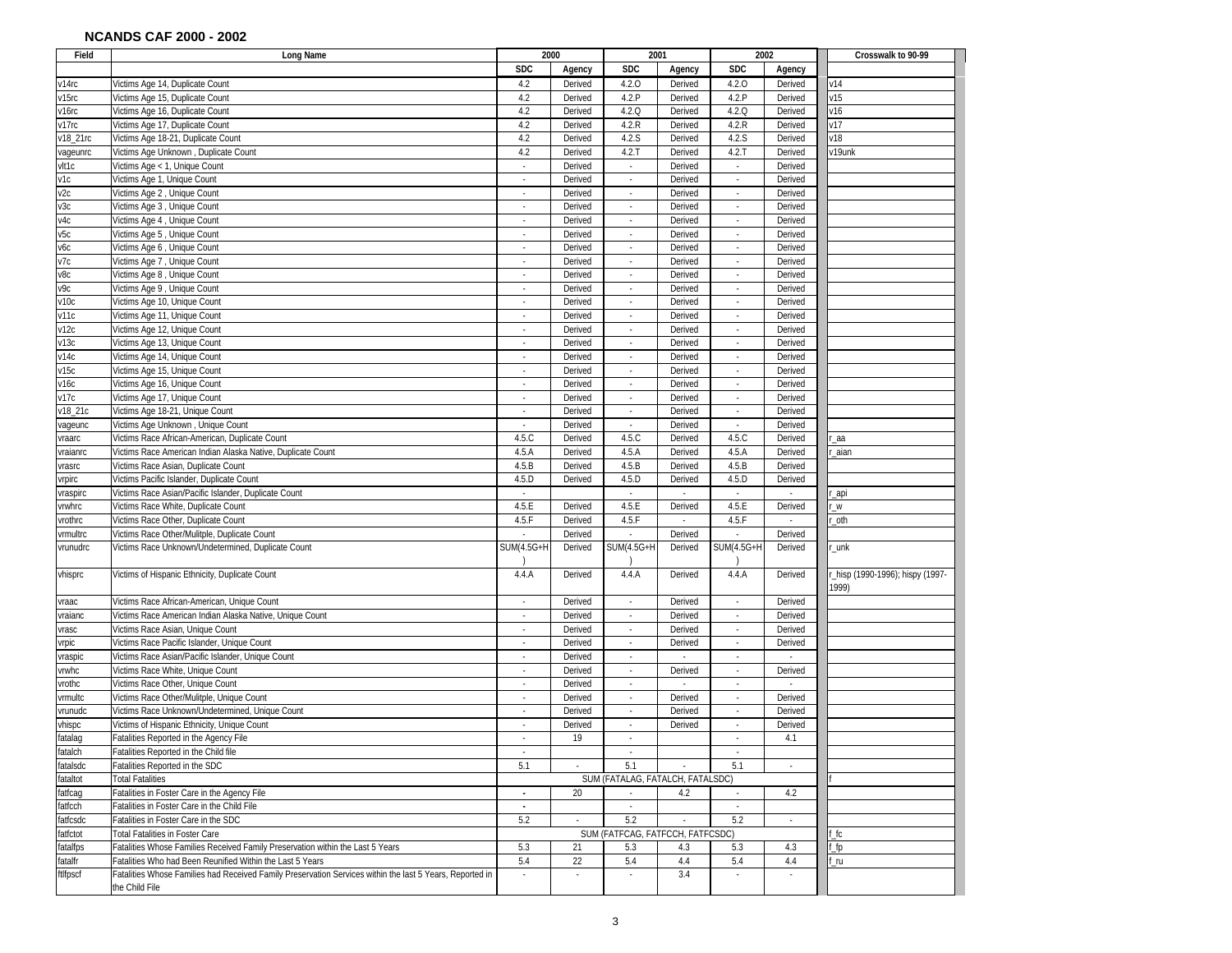| Field             | Long Name                                                                                                | 2000                             |         | 2001                             |                    | 2002                        |                             | Crosswalk to 90-99             |
|-------------------|----------------------------------------------------------------------------------------------------------|----------------------------------|---------|----------------------------------|--------------------|-----------------------------|-----------------------------|--------------------------------|
|                   |                                                                                                          | <b>SDC</b>                       | Agency  | <b>SDC</b>                       | Agency             | <b>SDC</b>                  | Agency                      |                                |
| v14rc             | Victims Age 14, Duplicate Count                                                                          | 4.2                              | Derived | 4.2.0                            | Derived            | 4.2.0                       | Derived                     | v14                            |
| v15rc             | Victims Age 15, Duplicate Count                                                                          | 4.2                              | Derived | 4.2.P                            | Derived            | 4.2.P                       | Derived                     | v15                            |
| v16rc             | Victims Age 16, Duplicate Count                                                                          | 4.2                              | Derived | 4.2.0                            | Derived            | 4.2.0                       | Derived                     | V16                            |
| v17rc             | Victims Age 17, Duplicate Count                                                                          | 4.2                              | Derived | 4.2.R                            | Derived            | 4.2.R                       | Derived                     | v17                            |
| v18_21rc          | Victims Age 18-21, Duplicate Count                                                                       | 4.2                              | Derived | 4.2.S                            | Derived            | 4.2.S                       | Derived                     | v18                            |
| vageunrc          | Victims Age Unknown, Duplicate Count                                                                     | 4.2                              | Derived | 4.2.7                            | Derived            | 4.2.7                       | Derived                     | v19unk                         |
| vlt1c             | Victims Age < 1, Unique Count                                                                            | $\sim$                           | Derived | $\mathcal{L}_{\mathcal{A}}$      | Derived            | $\sim$                      | Derived                     |                                |
| v1c               | Victims Age 1, Unique Count                                                                              | $\sim$                           | Derived | $\overline{\phantom{a}}$         | Derived            | $\overline{\phantom{a}}$    | Derived                     |                                |
| v2c               | Victims Age 2, Unique Count                                                                              | $\overline{\phantom{a}}$         | Derived | $\overline{\phantom{a}}$         | Derived            | $\sim$                      | Derived                     |                                |
| и3с               | Victims Age 3, Unique Count                                                                              |                                  | Derived |                                  | Derived            | $\sim$                      | Derived                     |                                |
| v4c               | Victims Age 4, Unique Count                                                                              | $\sim$                           | Derived |                                  | Derived            | $\overline{\phantom{a}}$    | Derived                     |                                |
| и5с               | Victims Age 5, Unique Count                                                                              |                                  | Derived |                                  | Derived            |                             | Derived                     |                                |
| л6с               | Victims Age 6, Unique Count                                                                              |                                  | Derived |                                  | Derived            | $\overline{\phantom{a}}$    | Derived                     |                                |
| v7c               | Victims Age 7, Unique Count                                                                              | $\overline{\phantom{a}}$         | Derived | $\sim$                           | Derived            | $\overline{\phantom{a}}$    | Derived                     |                                |
| v8c               | Victims Age 8, Unique Count                                                                              | $\sim$                           | Derived | $\sim$                           | Derived            | ×                           | Derived                     |                                |
| v9c               | Victims Age 9, Unique Count                                                                              | $\overline{\phantom{a}}$         | Derived | $\overline{\phantom{a}}$         | Derived            | $\mathcal{L}_{\mathcal{A}}$ | Derived                     |                                |
| v10c              | Victims Age 10, Unique Count                                                                             | $\alpha$                         | Derived | ×                                | Derived            | $\overline{\phantom{a}}$    | Derived                     |                                |
| v11c              | Victims Age 11, Unique Count                                                                             | $\sim$                           | Derived | $\overline{\phantom{a}}$         | Derived            | $\overline{\phantom{a}}$    | Derived                     |                                |
| v12c              | Victims Age 12, Unique Count                                                                             | $\overline{\phantom{a}}$         | Derived | $\overline{\phantom{a}}$         | Derived            | $\overline{\phantom{a}}$    | Derived                     |                                |
| v13c              | Victims Age 13, Unique Count                                                                             | $\sim$                           | Derived | $\overline{\phantom{a}}$         | Derived            | $\sim$                      | Derived                     |                                |
| v14c              | Victims Age 14, Unique Count                                                                             | $\sim$                           | Derived |                                  | Derived            | ٠                           | Derived                     |                                |
| v15c              | Victims Age 15, Unique Count                                                                             | $\sim$                           | Derived | $\overline{\phantom{a}}$         | Derived            | $\overline{\phantom{a}}$    | Derived                     |                                |
| v16с              | Victims Age 16, Unique Count                                                                             | $\sim$                           | Derived |                                  | Derived            | ٠                           | Derived                     |                                |
| v17c              | Victims Age 17, Unique Count                                                                             |                                  | Derived |                                  | Derived            |                             | Derived                     |                                |
| v18_21c           | Victims Age 18-21, Unique Count                                                                          |                                  | Derived |                                  | Derived            |                             | Derived                     |                                |
|                   | Victims Age Unknown, Unique Count                                                                        | ×                                | Derived | ÷,                               | Derived            | ÷,                          | Derived                     |                                |
| vageunc<br>vraarc | Victims Race African-American, Duplicate Count                                                           | 4.5.C                            | Derived | 4.5.C                            | Derived            | 4.5.C                       | Derived                     |                                |
|                   | Victims Race American Indian Alaska Native, Duplicate Count                                              |                                  | Derived |                                  |                    | 4.5.A                       | Derived                     | _aa                            |
| vraianrc          | Victims Race Asian, Duplicate Count                                                                      | 4.5.A<br>4.5.B                   | Derived | 4.5.A<br>4.5.B                   | Derived<br>Derived | 4.5.B                       | Derived                     | _aian                          |
| vrasrc            | Victims Pacific Islander, Duplicate Count                                                                | 4.5.D                            | Derived | 4.5.D                            | Derived            | 4.5.D                       | Derived                     |                                |
| vrpirc            |                                                                                                          |                                  |         |                                  |                    |                             |                             |                                |
| vraspirc          | Victims Race Asian/Pacific Islander, Duplicate Count                                                     | $\sim$                           |         | $\sim$                           | ×                  | $\mathcal{L}_{\mathcal{A}}$ | $\sim$                      | _api                           |
| vrwhrc            | Victims Race White, Duplicate Count                                                                      | 4.5.E                            | Derived | 4.5.E                            | Derived            | 4.5.E                       | Derived                     | W_                             |
| vrothrc           | Victims Race Other, Duplicate Count                                                                      | 4.5.F                            | Derived | 4.5.F                            | $\omega$           | 4.5.F                       | $\mathcal{L}_{\mathcal{A}}$ | _oth                           |
| vrmultrc          | Victims Race Other/Mulitple, Duplicate Count                                                             |                                  | Derived |                                  | Derived            |                             | Derived                     |                                |
| vrunudrc          | Victims Race Unknown/Undetermined, Duplicate Count                                                       | <b>SUM(4.5G+H</b>                | Derived | <b>SUM(4.5G+H</b>                | Derived            | <b>SUM(4.5G+H</b>           | Derived                     | $\_unk$                        |
|                   |                                                                                                          |                                  |         |                                  |                    |                             |                             |                                |
| vhisprc           | Victims of Hispanic Ethnicity, Duplicate Count                                                           | 4.4.A                            | Derived | 4.4.A                            | Derived            | 4.4.A                       | Derived                     | hisp (1990-1996); hispy (1997- |
|                   |                                                                                                          |                                  |         |                                  |                    |                             |                             | 1999)                          |
| vraac             | Victims Race African-American, Unique Count                                                              | $\overline{\phantom{a}}$         | Derived | $\overline{\phantom{a}}$         | Derived            | $\overline{\phantom{a}}$    | Derived                     |                                |
| vraianc           | Victims Race American Indian Alaska Native, Unique Count                                                 | $\omega$                         | Derived | $\omega$                         | Derived            | $\sim$                      | Derived                     |                                |
| vrasc             | Victims Race Asian, Unique Count                                                                         | ×                                | Derived | $\sim$                           | Derived            | $\overline{\phantom{a}}$    | Derived                     |                                |
| vrpic             | Victims Race Pacific Islander, Unique Count                                                              | $\sim$                           | Derived | $\overline{\phantom{a}}$         | Derived            | $\sim$                      | Derived                     |                                |
| vraspic           | Victims Race Asian/Pacific Islander, Unique Count                                                        | $\overline{\phantom{a}}$         | Derived | $\overline{\phantom{a}}$         | $\sim$             | ÷,                          |                             |                                |
| vrwhc             | Victims Race White, Unique Count                                                                         | $\overline{\phantom{a}}$         | Derived | $\overline{\phantom{a}}$         | Derived            | $\sim$                      | Derived                     |                                |
| rothc             | Victims Race Other, Unique Count                                                                         | $\sim$                           | Derived | $\sim$                           | $\sim$             | $\overline{\phantom{a}}$    | $\sim$                      |                                |
| vrmultc           | Victims Race Other/Mulitple, Unique Count                                                                | $\sim$                           | Derived | $\overline{\phantom{a}}$         | Derived            | $\sim$                      | Derived                     |                                |
| vrunudc           | Victims Race Unknown/Undetermined, Unique Count                                                          | $\overline{\phantom{a}}$         | Derived |                                  | Derived            |                             | Derived                     |                                |
| vhispc            | Victims of Hispanic Ethnicity, Unique Count                                                              | $\overline{\phantom{a}}$         | Derived | $\sim$                           | Derived            | $\overline{\phantom{a}}$    | Derived                     |                                |
| fatalag           | Fatalities Reported in the Agency File                                                                   |                                  | 19      |                                  |                    |                             | 4.1                         |                                |
| fatalch           | Fatalities Reported in the Child file                                                                    |                                  |         |                                  |                    |                             |                             |                                |
| fatalsdc          | Fatalities Reported in the SDC                                                                           | 5.1                              |         | 5.1                              |                    | 5.1                         |                             |                                |
| fataltot          | <b>Total Fatalities</b>                                                                                  | SUM (FATALAG, FATALCH, FATALSDC) |         |                                  |                    |                             |                             |                                |
| fatfcag           | Fatalities in Foster Care in the Agency File                                                             | $\omega$                         | 20      |                                  | 4.2                | $\mathcal{L}_{\mathcal{A}}$ | 4.2                         |                                |
| fatfcch           | Fatalities in Foster Care in the Child File                                                              | $\sim$                           |         | $\mathcal{L}_{\mathcal{A}}$      |                    | $\sim$                      |                             |                                |
| fatfcsdc          | Fatalities in Foster Care in the SDC                                                                     | 5.2                              | $\sim$  | 5.2                              | $\sim$             | 5.2                         | $\sim$                      |                                |
| fatfctot          | Total Fatalities in Foster Care                                                                          |                                  |         | SUM (FATFCAG, FATFCCH, FATFCSDC) |                    |                             |                             | f_fc                           |
| fatalfps          | Fatalities Whose Families Received Family Preservation within the Last 5 Years                           | 5.3                              | 21      | 5.3                              | 4.3                | 5.3                         | 4.3                         | $\_fp$                         |
| fatalfr           | Fatalities Who had Been Reunified Within the Last 5 Years                                                | 5.4                              | 22      | 5.4                              | 4.4                | 5.4                         | 4.4                         | $\overline{\mathsf{r}}$ u      |
| ftlfpscf          | Fatalities Whose Families had Received Family Preservation Services within the last 5 Years, Reported in | $\omega$                         | $\sim$  | $\sim$                           | 3.4                | $\sim$                      |                             |                                |
|                   | the Child File                                                                                           |                                  |         |                                  |                    |                             |                             |                                |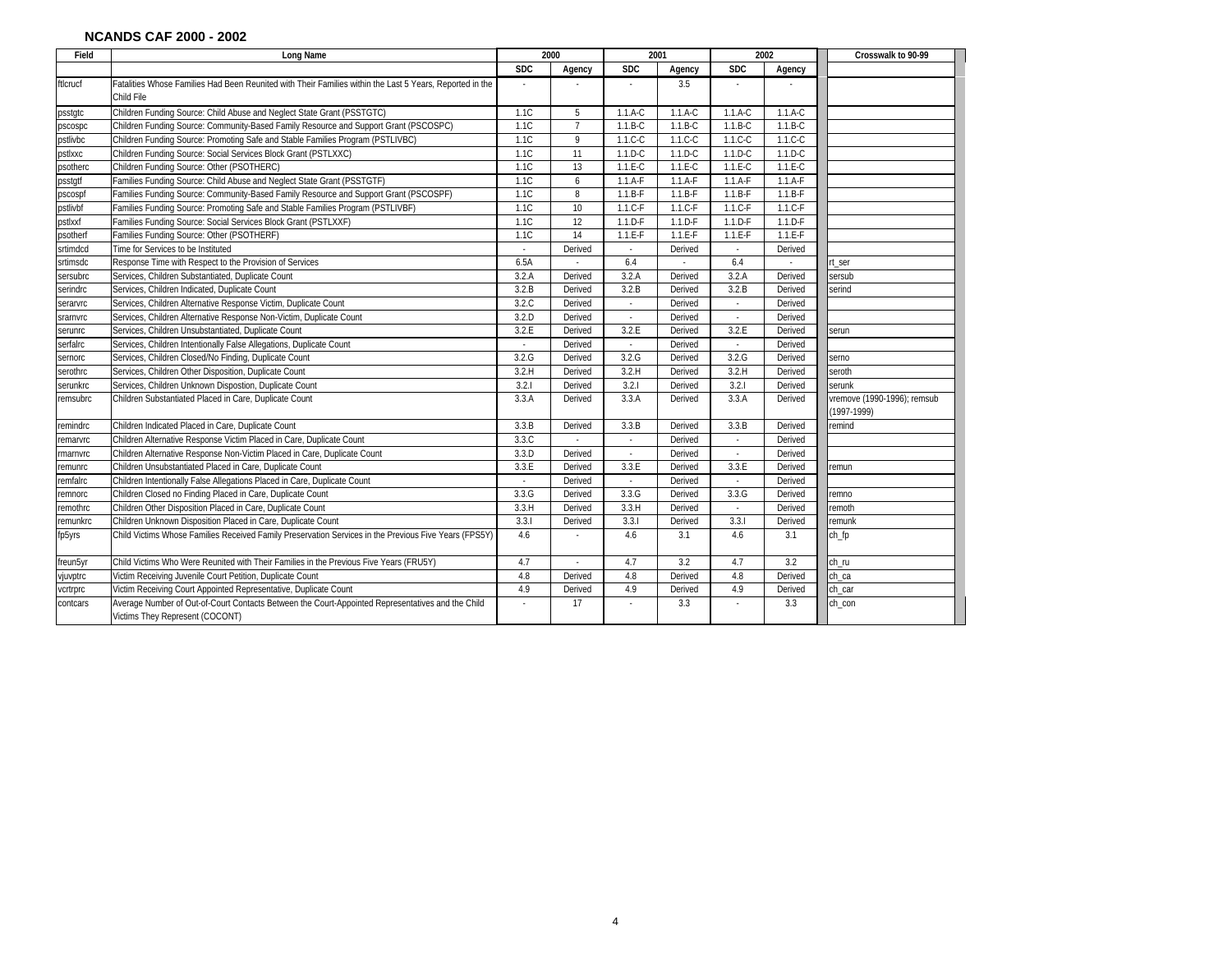| Field    | Long Name                                                                                                                            | 2000       |                | 2001                     |           | 2002       |           | Crosswalk to 90-99                             |
|----------|--------------------------------------------------------------------------------------------------------------------------------------|------------|----------------|--------------------------|-----------|------------|-----------|------------------------------------------------|
|          |                                                                                                                                      | <b>SDC</b> | Agency         | <b>SDC</b>               | Agency    | <b>SDC</b> | Agency    |                                                |
| ftlcrucf | Fatalities Whose Families Had Been Reunited with Their Families within the Last 5 Years, Reported in the<br>Child File               |            |                |                          | 3.5       |            |           |                                                |
| psstgtc  | Children Funding Source: Child Abuse and Neglect State Grant (PSSTGTC)                                                               | 1.1C       | 5              | $1.1.A-C$                | $1.1.A-C$ | 1.1.A-C    | $1.1.A-C$ |                                                |
| pscospc  | Children Funding Source: Community-Based Family Resource and Support Grant (PSCOSPC)                                                 | 1.1C       | $\overline{7}$ | $1.1.B-C$                | $1.1.B-C$ | $1.1.B-C$  | $1.1.B-C$ |                                                |
| pstlivbc | Children Funding Source: Promoting Safe and Stable Families Program (PSTLIVBC)                                                       | 1.1C       | 9              | $1.1.C-C$                | $1.1.C-C$ | $1.1.C-C$  | $1.1.C-C$ |                                                |
| pstlxxc  | Children Funding Source: Social Services Block Grant (PSTLXXC)                                                                       | 1.1C       | 11             | $1.1.D-C$                | $1.1.D-C$ | 1.1.D-C    | $1.1.D-C$ |                                                |
| psotherc | Children Funding Source: Other (PSOTHERC)                                                                                            | 1.1C       | 13             | $1.1.E-C$                | $1.1.E-C$ | $1.1.E-C$  | $1.1.E-C$ |                                                |
| psstgtf  | Families Funding Source: Child Abuse and Neglect State Grant (PSSTGTF)                                                               | 1.1C       | 6              | $1.1.A-F$                | $1.1.A-F$ | $1.1.A-F$  | $1.1.A-F$ |                                                |
| pscospf  | Families Funding Source: Community-Based Family Resource and Support Grant (PSCOSPF)                                                 | 1.1C       | 8              | $1.1.B-F$                | $1.1.B-F$ | $1.1.B-F$  | $1.1.B-F$ |                                                |
| pstlivbf | Families Funding Source: Promoting Safe and Stable Families Program (PSTLIVBF)                                                       | 1.1C       | 10             | $1.1.C-F$                | $1.1.C-F$ | $1.1.C-F$  | $1.1.C-F$ |                                                |
| pstlxxf  | Families Funding Source: Social Services Block Grant (PSTLXXF)                                                                       | 1.1C       | 12             | $1.1.D-F$                | $1.1.D-F$ | $1.1.D-F$  | $1.1.D-F$ |                                                |
| psotherf | Families Funding Source: Other (PSOTHERF)                                                                                            | 1.1C       | 14             | $1.1.E-F$                | $1.1.E-F$ | $1.1.E-F$  | $1.1.E-F$ |                                                |
| srtimdcd | Time for Services to be Instituted                                                                                                   |            | Derived        | $\sim$                   | Derived   | $\sim$     | Derived   |                                                |
| srtimsdc | Response Time with Respect to the Provision of Services                                                                              | 6.5A       |                | 6.4                      |           | 6.4        |           | rt ser                                         |
| sersubrc | Services, Children Substantiated, Duplicate Count                                                                                    | 3.2.A      | Derived        | 3.2.A                    | Derived   | 3.2.A      | Derived   | sersub                                         |
| serindrc | Services, Children Indicated, Duplicate Count                                                                                        | 3.2.B      | Derived        | 3.2.B                    | Derived   | 3.2.B      | Derived   | serind                                         |
| serarvrc | Services, Children Alternative Response Victim, Duplicate Count                                                                      | 3.2.C      | Derived        | $\sim$                   | Derived   | $\sim$     | Derived   |                                                |
| srarnvrc | Services, Children Alternative Response Non-Victim, Duplicate Count                                                                  | 3.2.D      | Derived        | $\sim$                   | Derived   | $\sim$     | Derived   |                                                |
| serunrc  | Services, Children Unsubstantiated, Duplicate Count                                                                                  | 3.2.E      | Derived        | 3.2.E                    | Derived   | 3.2.E      | Derived   | serun                                          |
| serfalrc | Services, Children Intentionally False Allegations, Duplicate Count                                                                  |            | Derived        |                          | Derived   | ÷,         | Derived   |                                                |
| sernorc  | Services, Children Closed/No Finding, Duplicate Count                                                                                | 3.2.G      | Derived        | 3.2.G                    | Derived   | 3.2.G      | Derived   | serno                                          |
| serothrc | Services, Children Other Disposition, Duplicate Count                                                                                | 3.2.H      | Derived        | 3.2.H                    | Derived   | 3.2.H      | Derived   | seroth                                         |
| serunkrc | Services, Children Unknown Dispostion, Duplicate Count                                                                               | 3.2.1      | Derived        | 3.2.1                    | Derived   | 3.2.1      | Derived   | serunk                                         |
| remsubrc | Children Substantiated Placed in Care, Duplicate Count                                                                               | 3.3.A      | Derived        | 3.3.A                    | Derived   | 3.3.A      | Derived   | vremove (1990-1996); remsub<br>$(1997 - 1999)$ |
| remindrc | Children Indicated Placed in Care, Duplicate Count                                                                                   | 3.3.B      | Derived        | 3.3.B                    | Derived   | 3.3B       | Derived   | remind                                         |
| remarvrc | Children Alternative Response Victim Placed in Care, Duplicate Count                                                                 | 3.3.C      | ÷.             | $\sim$                   | Derived   | ÷.         | Derived   |                                                |
| rmarnvrc | Children Alternative Response Non-Victim Placed in Care, Duplicate Count                                                             | 3.3.D      | Derived        | $\overline{\phantom{a}}$ | Derived   | ×,         | Derived   |                                                |
| remunrc  | Children Unsubstantiated Placed in Care, Duplicate Count                                                                             | 3.3.E      | Derived        | 3.3.E                    | Derived   | 3.3.E      | Derived   | remun                                          |
| remfalrc | Children Intentionally False Allegations Placed in Care, Duplicate Count                                                             |            | Derived        |                          | Derived   |            | Derived   |                                                |
| remnorc  | Children Closed no Finding Placed in Care, Duplicate Count                                                                           | 3.3.G      | Derived        | 3.3.G                    | Derived   | 3.3.6      | Derived   | remno                                          |
| remothrc | Children Other Disposition Placed in Care, Duplicate Count                                                                           | 3.3.H      | Derived        | 3.3.H                    | Derived   | ×,         | Derived   | remoth                                         |
| remunkrc | Children Unknown Disposition Placed in Care, Duplicate Count                                                                         | 3.3.1      | Derived        | 3.3.1                    | Derived   | 3.3.1      | Derived   | remunk                                         |
| fp5yrs   | Child Victims Whose Families Received Family Preservation Services in the Previous Five Years (FPS5Y)                                | 4.6        |                | 4.6                      | 3.1       | 4.6        | 3.1       | ch fp                                          |
| freun5yr | Child Victims Who Were Reunited with Their Families in the Previous Five Years (FRU5Y)                                               | 4.7        | ÷.             | 4.7                      | 3.2       | 4.7        | 3.2       | ch_ru                                          |
| vjuvptrc | Victim Receiving Juvenile Court Petition, Duplicate Count                                                                            | 4.8        | Derived        | 4.8                      | Derived   | 4.8        | Derived   | ch ca                                          |
| vcrtrprc | Victim Receiving Court Appointed Representative, Duplicate Count                                                                     | 4.9        | Derived        | 4.9                      | Derived   | 4.9        | Derived   | ch_car                                         |
| contcars | Average Number of Out-of-Court Contacts Between the Court-Appointed Representatives and the Child<br>Victims They Represent (COCONT) |            | 17             |                          | 3.3       |            | 3.3       | ch_con                                         |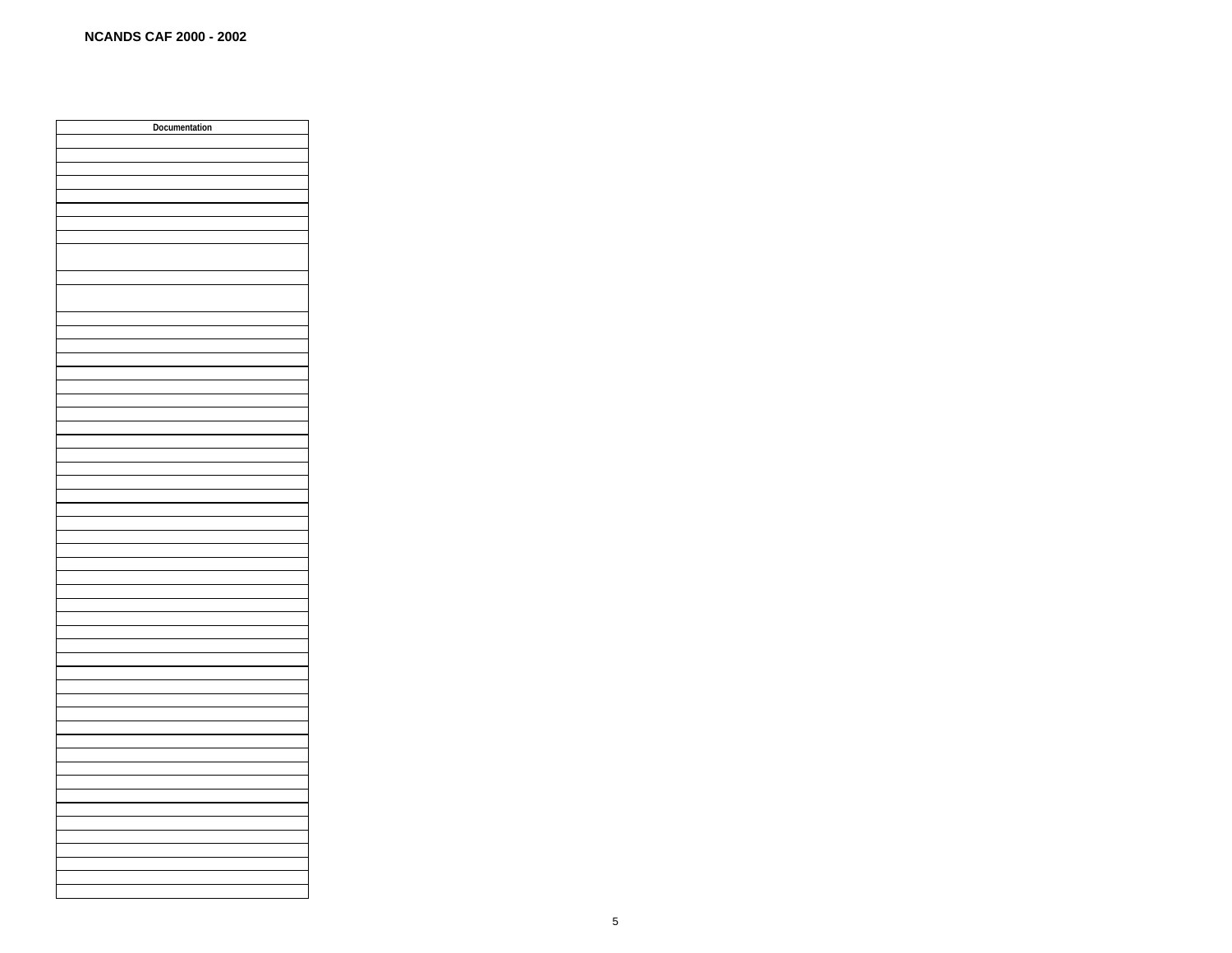| Documentation |
|---------------|
|               |
|               |
|               |
|               |
|               |
|               |
|               |
|               |
|               |
|               |
|               |
|               |
|               |
|               |
|               |
|               |
|               |
|               |
|               |
|               |
|               |
|               |
|               |
|               |
|               |
|               |
|               |
|               |
|               |
|               |
|               |
|               |
|               |
|               |
|               |
|               |
|               |
|               |
|               |
|               |
|               |
|               |
|               |
|               |
|               |
|               |
|               |
|               |
|               |
|               |
|               |
|               |
|               |
|               |
|               |
|               |
|               |
|               |
|               |
|               |
|               |
|               |
|               |
|               |
|               |
|               |
|               |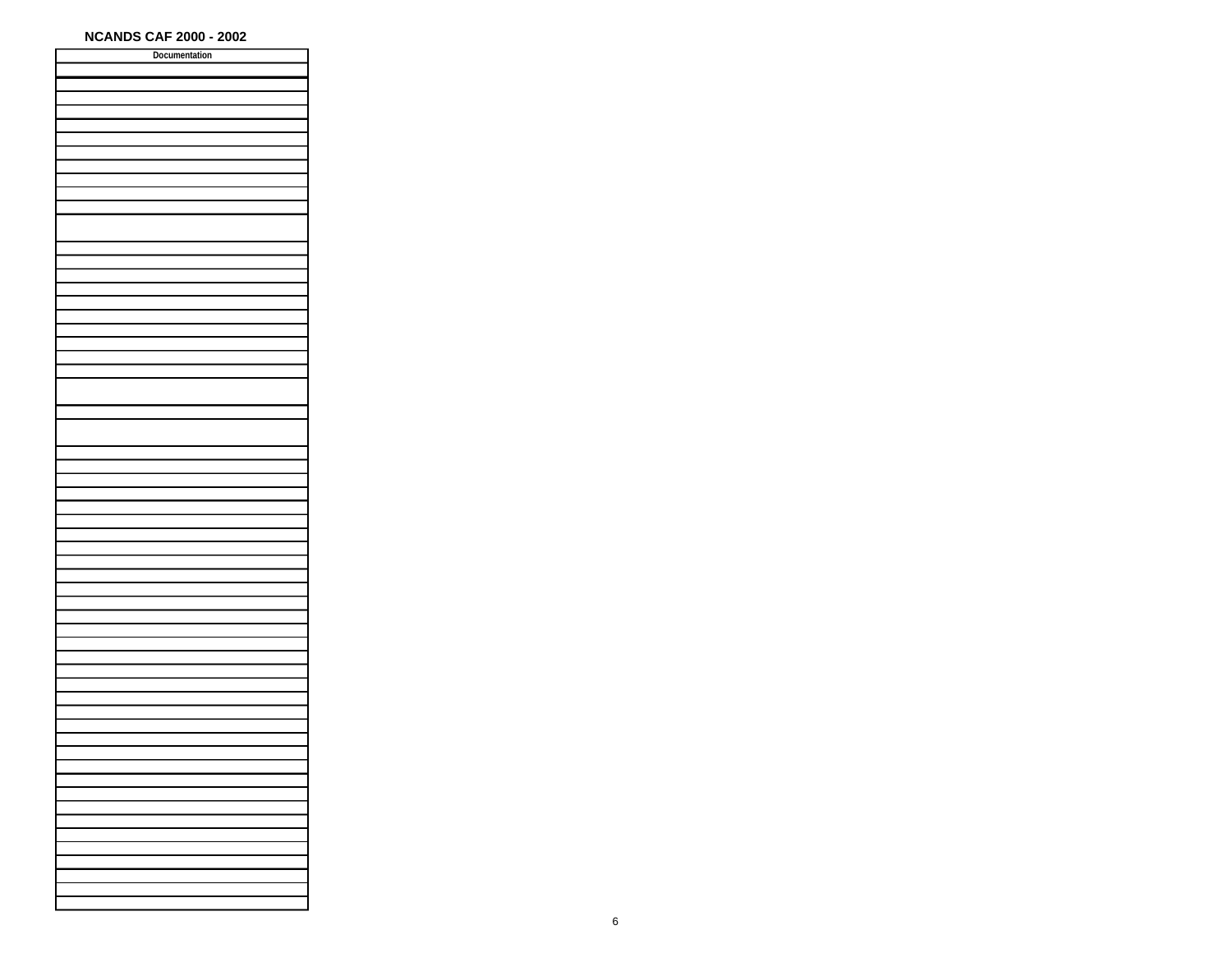| Documentation |  |
|---------------|--|
|               |  |
|               |  |
|               |  |
|               |  |
|               |  |
|               |  |
|               |  |
|               |  |
|               |  |
|               |  |
|               |  |
|               |  |
|               |  |
|               |  |
|               |  |
|               |  |
|               |  |
|               |  |
|               |  |
|               |  |
|               |  |
|               |  |
|               |  |
|               |  |
|               |  |
|               |  |
|               |  |
|               |  |
|               |  |
|               |  |
|               |  |
|               |  |
|               |  |
|               |  |
|               |  |
|               |  |
|               |  |
|               |  |
|               |  |
|               |  |
|               |  |
|               |  |
|               |  |
|               |  |
|               |  |
|               |  |
|               |  |
|               |  |
|               |  |
|               |  |
|               |  |
|               |  |
|               |  |
|               |  |
|               |  |
|               |  |
|               |  |
|               |  |
|               |  |
|               |  |
|               |  |
|               |  |
|               |  |
|               |  |
|               |  |
|               |  |
|               |  |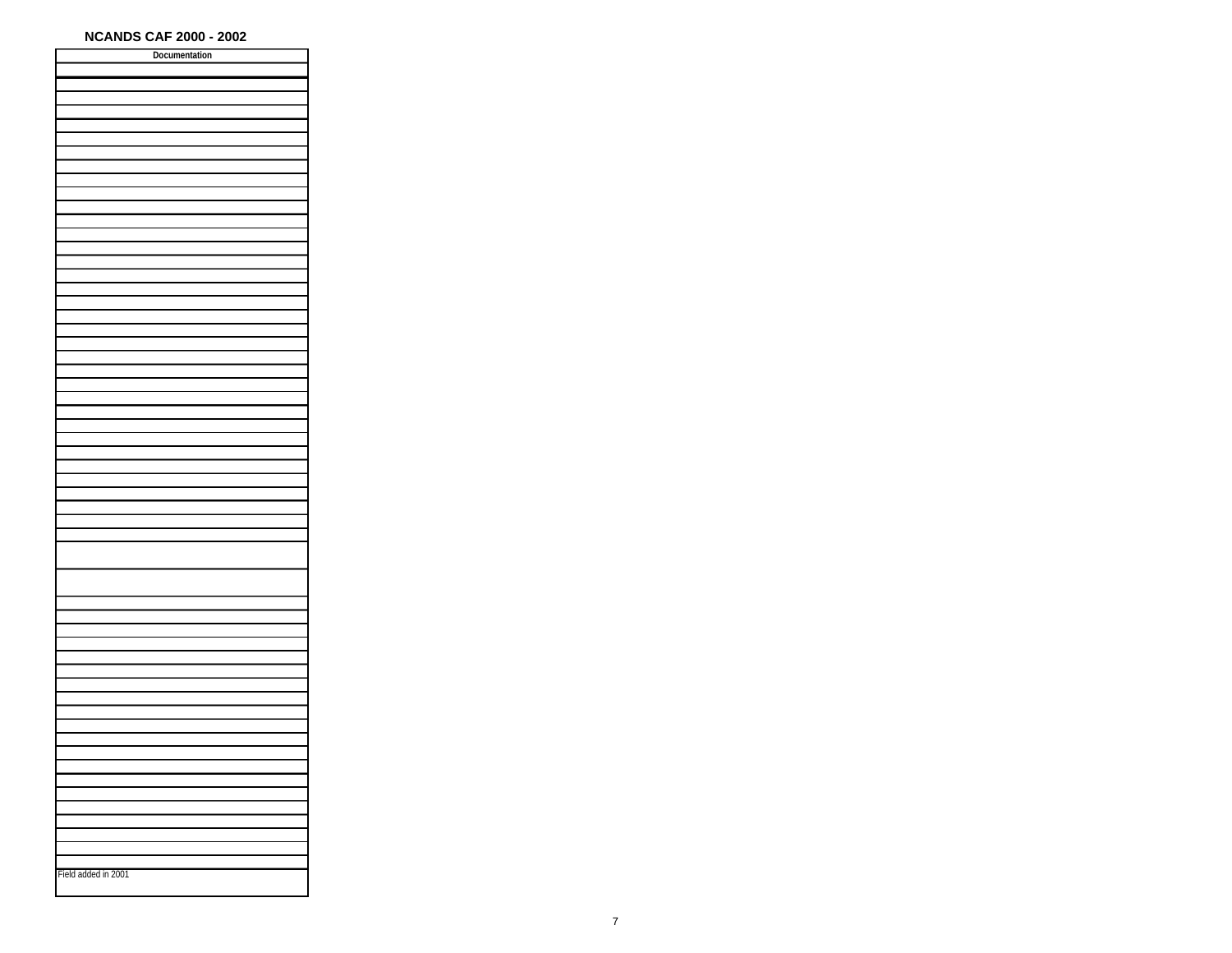| Documentation       |
|---------------------|
|                     |
|                     |
|                     |
|                     |
|                     |
|                     |
|                     |
|                     |
|                     |
|                     |
|                     |
|                     |
|                     |
|                     |
|                     |
|                     |
|                     |
|                     |
|                     |
|                     |
|                     |
|                     |
|                     |
|                     |
|                     |
|                     |
|                     |
|                     |
|                     |
|                     |
|                     |
|                     |
|                     |
|                     |
|                     |
|                     |
|                     |
|                     |
|                     |
|                     |
|                     |
|                     |
|                     |
|                     |
|                     |
|                     |
|                     |
|                     |
|                     |
|                     |
|                     |
|                     |
|                     |
|                     |
|                     |
|                     |
|                     |
|                     |
|                     |
|                     |
|                     |
|                     |
|                     |
|                     |
|                     |
|                     |
|                     |
| Field added in 2001 |
|                     |